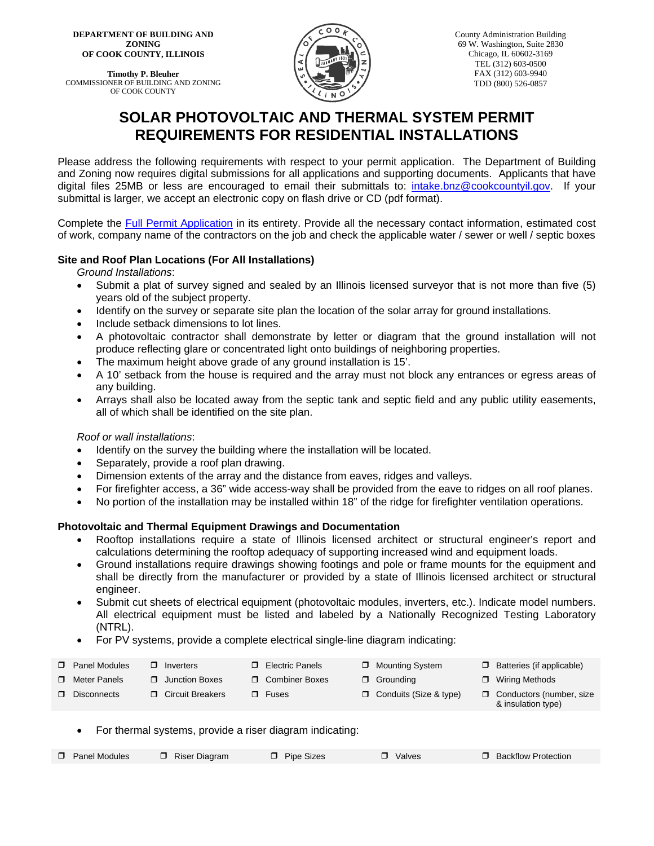**DEPARTMENT OF BUILDING AND ZONING OF COOK COUNTY, ILLINOIS**

**Timothy P. Bleuher** COMMISSIONER OF BUILDING AND ZONING OF COOK COUNTY



County Administration Building 69 W. Washington, Suite 2830 Chicago, IL 60602-3169 TEL (312) 603-0500 FAX (312) 603-9940 TDD (800) 526-0857

# **SOLAR PHOTOVOLTAIC AND THERMAL SYSTEM PERMIT REQUIREMENTS FOR RESIDENTIAL INSTALLATIONS**

Please address the following requirements with respect to your permit application. The Department of Building and Zoning now requires digital submissions for all applications and supporting documents. Applicants that have digital files 25MB or less are encouraged to email their submittals to: intake.bnz@cookcountyil.gov. If your submittal is larger, we accept an electronic copy on flash drive or CD (pdf format).

Complete the Full Permit Application in its entirety. Provide all the necessary contact information, estimated cost of work, company name of the contractors on the job and check the applicable water / sewer or well / septic boxes

# **Site and Roof Plan Locations (For All Installations)**

*Ground Installations*:

- Submit a plat of survey signed and sealed by an Illinois licensed surveyor that is not more than five (5) years old of the subject property.
- Identify on the survey or separate site plan the location of the solar array for ground installations.
- Include setback dimensions to lot lines.
- A photovoltaic contractor shall demonstrate by letter or diagram that the ground installation will not produce reflecting glare or concentrated light onto buildings of neighboring properties.
- The maximum height above grade of any ground installation is 15'.
- A 10' setback from the house is required and the array must not block any entrances or egress areas of any building.
- Arrays shall also be located away from the septic tank and septic field and any public utility easements, all of which shall be identified on the site plan.

# *Roof or wall installations*:

- Identify on the survey the building where the installation will be located.
- Separately, provide a roof plan drawing.
- Dimension extents of the array and the distance from eaves, ridges and valleys.
- For firefighter access, a 36" wide access-way shall be provided from the eave to ridges on all roof planes.
- No portion of the installation may be installed within 18" of the ridge for firefighter ventilation operations.

# **Photovoltaic and Thermal Equipment Drawings and Documentation**

- Rooftop installations require a state of Illinois licensed architect or structural engineer's report and calculations determining the rooftop adequacy of supporting increased wind and equipment loads.
- Ground installations require drawings showing footings and pole or frame mounts for the equipment and shall be directly from the manufacturer or provided by a state of Illinois licensed architect or structural engineer.
- Submit cut sheets of electrical equipment (photovoltaic modules, inverters, etc.). Indicate model numbers. All electrical equipment must be listed and labeled by a Nationally Recognized Testing Laboratory (NTRL).
- For PV systems, provide a complete electrical single-line diagram indicating:

| <b>D</b> Panel Modules | Inverters                 | <b>D</b> Electric Panels | □ Mounting System             | $\Box$ Batteries (if applicable)                      |
|------------------------|---------------------------|--------------------------|-------------------------------|-------------------------------------------------------|
| <b>D</b> Meter Panels  | Junction Boxes            | <b>D</b> Combiner Boxes  | $\Box$ Grounding              | □ Wiring Methods                                      |
| <b>Disconnects</b>     | <b>D</b> Circuit Breakers | $\Box$ Fuses             | $\Box$ Conduits (Size & type) | $\Box$ Conductors (number, size<br>& insulation type) |

For thermal systems, provide a riser diagram indicating:

| <b>D</b> Panel Modules | Riser Diagram | $\Box$ Pipe Sizes | $\Box$ Valves | <b>D</b> Backflow Protection |
|------------------------|---------------|-------------------|---------------|------------------------------|
|------------------------|---------------|-------------------|---------------|------------------------------|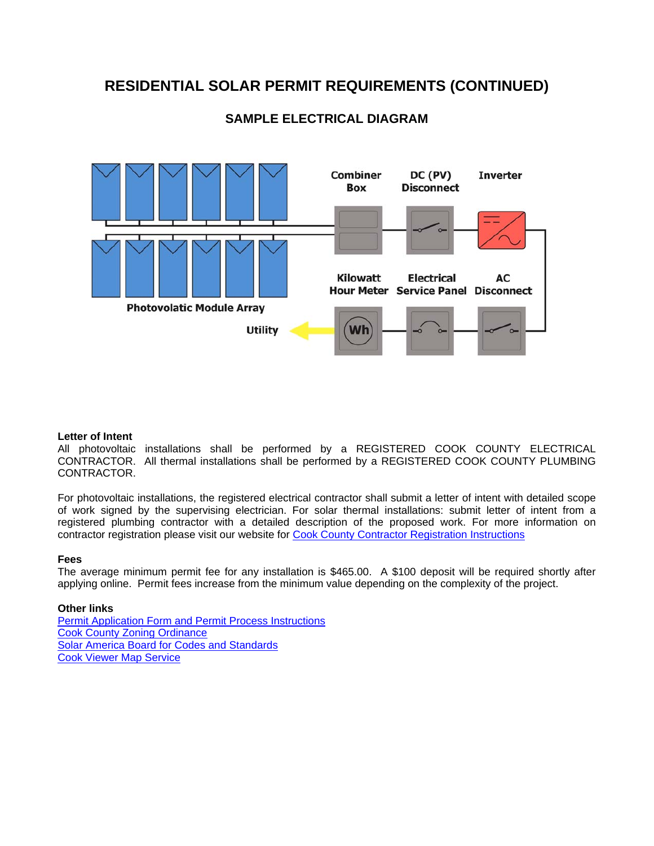# **RESIDENTIAL SOLAR PERMIT REQUIREMENTS (CONTINUED)**



# **SAMPLE ELECTRICAL DIAGRAM**

#### **Letter of Intent**

All photovoltaic installations shall be performed by a REGISTERED COOK COUNTY ELECTRICAL CONTRACTOR. All thermal installations shall be performed by a REGISTERED COOK COUNTY PLUMBING CONTRACTOR.

For photovoltaic installations, the registered electrical contractor shall submit a letter of intent with detailed scope of work signed by the supervising electrician. For solar thermal installations: submit letter of intent from a registered plumbing contractor with a detailed description of the proposed work. For more information on contractor registration please visit our website for Cook County Contractor Registration Instructions

#### **Fees**

The average minimum permit fee for any installation is \$465.00. A \$100 deposit will be required shortly after applying online. Permit fees increase from the minimum value depending on the complexity of the project.

# **Other links**

Permit Application Form and Permit Process Instructions Cook County Zoning Ordinance Solar America Board for Codes and Standards Cook Viewer Map Service